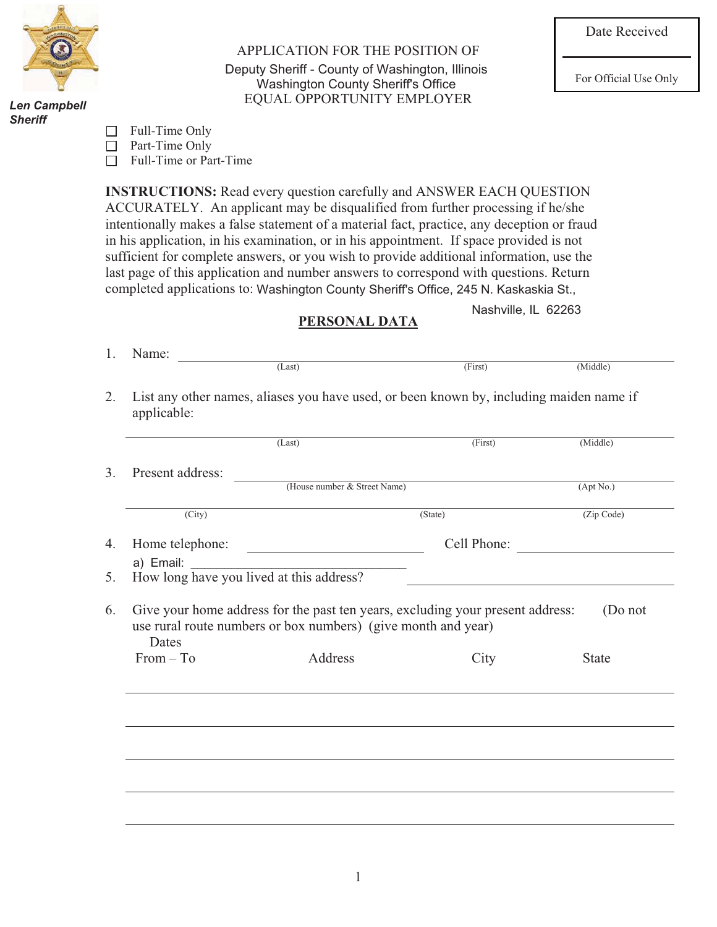

*Danny J. Bradac Len Campbell Sheriff*

APPLICATION FOR THE POSITION OF Deputy Sheriff - County of Washington, Illinois<br>
Washington County Sheriff's Office<br>
For Official Use Only EQUAL OPPORTUNITY EMPLOYER Washington County Sheriff's Office

| Full-Time Only<br>$\Box$ |
|--------------------------|
|--------------------------|

□ Part-Time Only

□ Full-Time or Part-Time

**INSTRUCTIONS:** Read every question carefully and ANSWER EACH QUESTION ACCURATELY. An applicant may be disqualified from further processing if he/she intentionally makes a false statement of a material fact, practice, any deception or fraud in his application, in his examination, or in his appointment. If space provided is not sufficient for complete answers, or you wish to provide additional information, use the last page of this application and number answers to correspond with questions. Return completed applications to: Washington County Sheriff's Office, 245 N. Kaskaskia St.,

Nashville, IL 62263

## **PERSONAL DATA**

|                     | (Last)                                                                                                                                          | (First)     | (Middle)     |
|---------------------|-------------------------------------------------------------------------------------------------------------------------------------------------|-------------|--------------|
| Present address:    |                                                                                                                                                 |             |              |
|                     | (House number & Street Name)                                                                                                                    |             | (Apt No.)    |
| $\overline{(City)}$ |                                                                                                                                                 | (State)     | (Zip Code)   |
| Home telephone:     |                                                                                                                                                 | Cell Phone: |              |
| a) Email:           |                                                                                                                                                 |             |              |
|                     | $\frac{a}{b}$ Email: $\frac{a}{b}$ are you lived at this address?                                                                               |             |              |
| <b>Dates</b>        | Give your home address for the past ten years, excluding your present address:<br>use rural route numbers or box numbers) (give month and year) |             | (Do not      |
| $From - To$         | Address                                                                                                                                         | City        | <b>State</b> |
|                     |                                                                                                                                                 |             |              |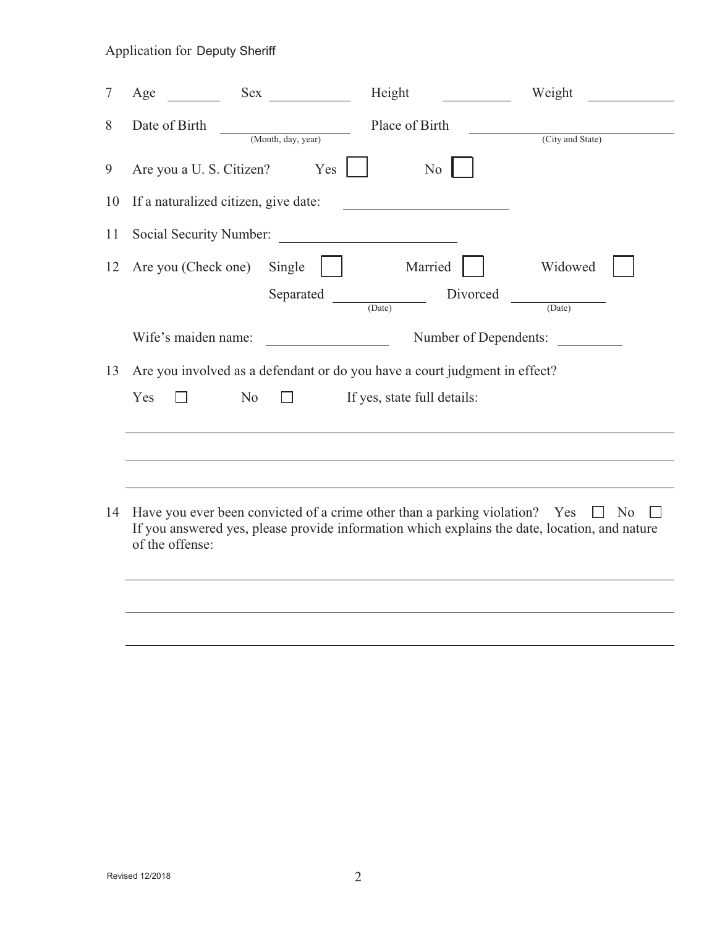| 7  | Age                                                                                                                                                                                                          | Height                                             |                             | Weight           |
|----|--------------------------------------------------------------------------------------------------------------------------------------------------------------------------------------------------------------|----------------------------------------------------|-----------------------------|------------------|
| 8  | Date of Birth                                                                                                                                                                                                | (Month, day, year)                                 | Place of Birth              | (City and State) |
| 9  | Are you a U. S. Citizen?                                                                                                                                                                                     | Yes                                                | N <sub>o</sub>              |                  |
| 10 | If a naturalized citizen, give date:                                                                                                                                                                         |                                                    |                             |                  |
| 11 | Social Security Number:                                                                                                                                                                                      | <u> 1989 - John Stein, Amerikaansk politiker (</u> |                             |                  |
| 12 | Are you (Check one)                                                                                                                                                                                          | Single                                             | Married                     | Widowed          |
|    |                                                                                                                                                                                                              | Separated<br>(Date)                                | Divorced                    | (Date)           |
|    | Wife's maiden name:                                                                                                                                                                                          |                                                    | Number of Dependents:       |                  |
| 13 | Are you involved as a defendant or do you have a court judgment in effect?                                                                                                                                   |                                                    |                             |                  |
|    | Yes<br>N <sub>o</sub>                                                                                                                                                                                        |                                                    | If yes, state full details: |                  |
|    |                                                                                                                                                                                                              |                                                    |                             |                  |
|    |                                                                                                                                                                                                              |                                                    |                             |                  |
| 14 | Have you ever been convicted of a crime other than a parking violation? Yes $\square$ No<br>If you answered yes, please provide information which explains the date, location, and nature<br>of the offense: |                                                    |                             |                  |
|    |                                                                                                                                                                                                              |                                                    |                             |                  |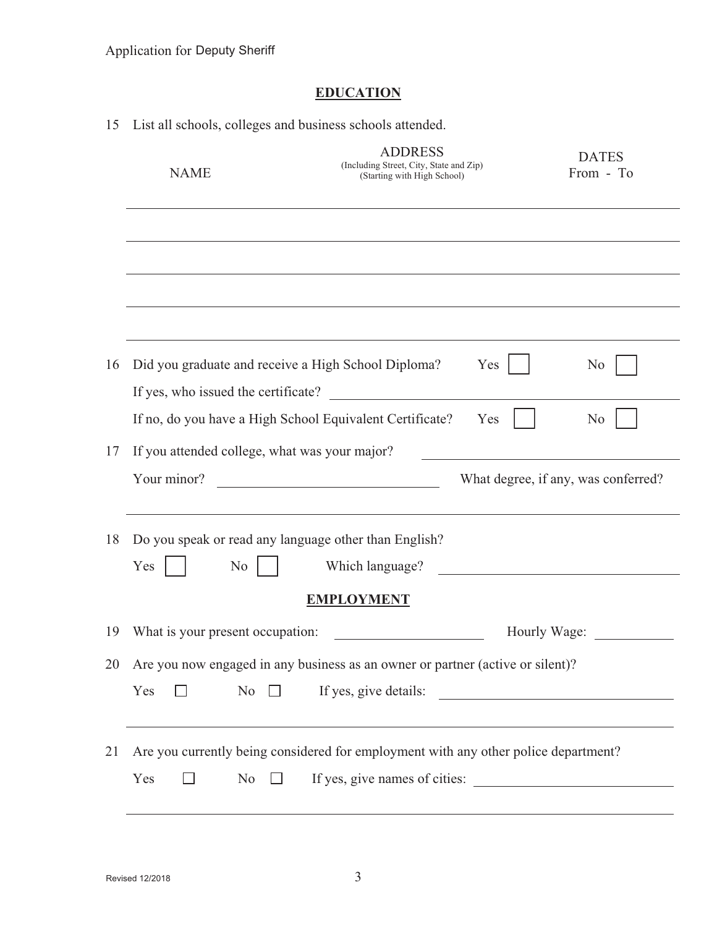# **EDUCATION**

| 1 <sub>2</sub> | List all schools, colleges and business schools attended.                                  |                                                                                                                      |                                                                                                                        |
|----------------|--------------------------------------------------------------------------------------------|----------------------------------------------------------------------------------------------------------------------|------------------------------------------------------------------------------------------------------------------------|
|                | <b>NAME</b>                                                                                | <b>ADDRESS</b><br>(Including Street, City, State and Zip)<br>(Starting with High School)                             | <b>DATES</b><br>From - To                                                                                              |
|                |                                                                                            |                                                                                                                      |                                                                                                                        |
|                |                                                                                            |                                                                                                                      |                                                                                                                        |
|                |                                                                                            |                                                                                                                      |                                                                                                                        |
|                |                                                                                            |                                                                                                                      |                                                                                                                        |
| 16             | Did you graduate and receive a High School Diploma?<br>If yes, who issued the certificate? | Yes<br><u> 1989 - Andrea Andrew Maria III, martin a bh</u>                                                           | N <sub>0</sub>                                                                                                         |
|                | If no, do you have a High School Equivalent Certificate?                                   | Yes                                                                                                                  | N <sub>0</sub>                                                                                                         |
| 17             | If you attended college, what was your major?                                              |                                                                                                                      |                                                                                                                        |
|                | Your minor?                                                                                |                                                                                                                      | What degree, if any, was conferred?                                                                                    |
| 18             | Do you speak or read any language other than English?                                      |                                                                                                                      |                                                                                                                        |
|                | Yes<br>N <sub>0</sub>                                                                      | Which language?                                                                                                      |                                                                                                                        |
|                |                                                                                            | <b>EMPLOYMENT</b>                                                                                                    |                                                                                                                        |
| 19             | What is your present occupation:                                                           |                                                                                                                      | Hourly Wage:                                                                                                           |
| 20             |                                                                                            | Are you now engaged in any business as an owner or partner (active or silent)?                                       |                                                                                                                        |
|                | Yes<br>No<br>$\Box$                                                                        | If yes, give details:                                                                                                | <u> Alexandria de la construcción de la construcción de la construcción de la construcción de la construcción de l</u> |
| 21             | Yes<br>N <sub>o</sub>                                                                      | Are you currently being considered for employment with any other police department?<br>If yes, give names of cities: |                                                                                                                        |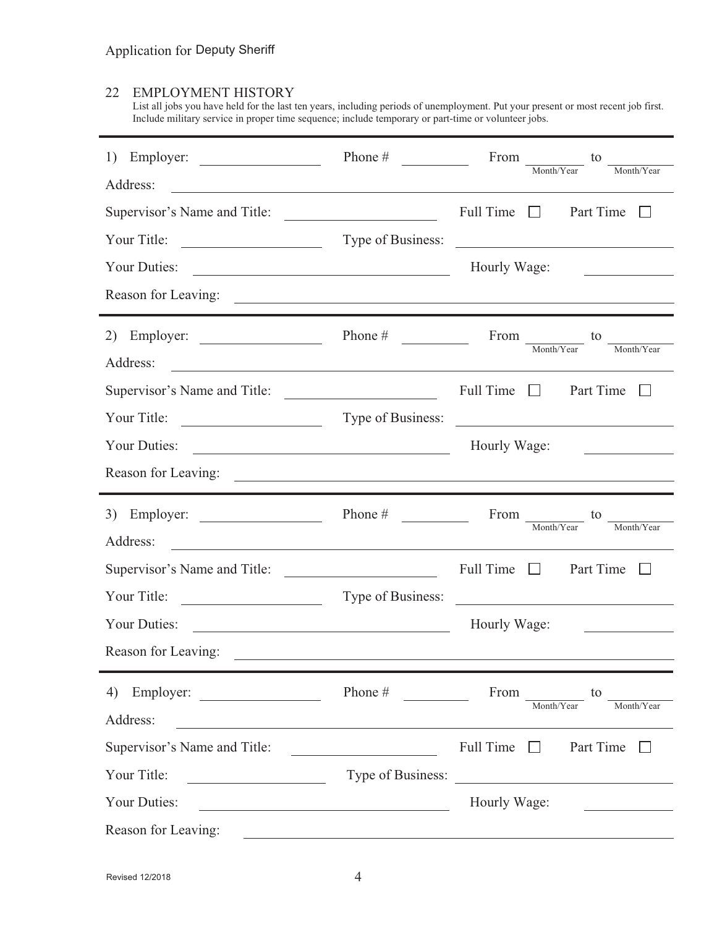# 22 EMPLOYMENT HISTORY

List all jobs you have held for the last ten years, including periods of unemployment. Put your present or most recent job first. Include military service in proper time sequence; include temporary or part-time or volunteer jobs.

| Employer:<br>1)                                                                                                                     | Phone $#$                                                                                                            | From $\frac{1}{\text{Month/Year}}$ to<br>Month/Year                                                                    |
|-------------------------------------------------------------------------------------------------------------------------------------|----------------------------------------------------------------------------------------------------------------------|------------------------------------------------------------------------------------------------------------------------|
| Address:<br><u> 1989 - Johann Stoff, Amerikaansk politiker († 1908)</u>                                                             |                                                                                                                      |                                                                                                                        |
| Supervisor's Name and Title:                                                                                                        |                                                                                                                      | Full Time $\Box$<br>Part Time<br>$\Box$                                                                                |
| Your Title:<br><u> 1989 - Andrea Barbara, poeta espa</u>                                                                            |                                                                                                                      | Type of Business:                                                                                                      |
| Your Duties:<br><u> 1989 - Johann Barn, mars eta bainar eta baina eta baina eta baina eta baina eta baina eta baina eta baina e</u> |                                                                                                                      | Hourly Wage:                                                                                                           |
|                                                                                                                                     |                                                                                                                      |                                                                                                                        |
| Employer:<br>2)                                                                                                                     | Phone $#$                                                                                                            | From $\frac{1}{\text{Month/Year}}$ to<br>$\underline{\hspace{1cm}}\textbf{Month/Year}$                                 |
| Address:                                                                                                                            |                                                                                                                      | <u> 1989 - Andrea Stadt Britain, amerikansk politik (d. 1989)</u>                                                      |
| Supervisor's Name and Title:                                                                                                        |                                                                                                                      | Full Time $\Box$ Part Time $\Box$                                                                                      |
| Your Title:                                                                                                                         |                                                                                                                      | Type of Business:                                                                                                      |
| Your Duties:                                                                                                                        |                                                                                                                      | Hourly Wage:<br>the company of the company of the company of                                                           |
|                                                                                                                                     |                                                                                                                      |                                                                                                                        |
|                                                                                                                                     |                                                                                                                      |                                                                                                                        |
| 3) Employer: $\qquad \qquad$                                                                                                        | Phone $\#$                                                                                                           | From to                                                                                                                |
| Address:<br><u> 1989 - Johann Barn, fransk politik fotograf (d. 1989)</u>                                                           |                                                                                                                      | Month/Year<br>Month/Year                                                                                               |
| Supervisor's Name and Title:                                                                                                        |                                                                                                                      | Full Time $\Box$<br>Part Time $\Box$                                                                                   |
| Your Title:                                                                                                                         | Type of Business:                                                                                                    | <u> 1989 - Jan Sterlinger, fransk politiker (d. 1989)</u>                                                              |
| Your Duties:<br><u> 1989 - Johann Barbara, martin amerikan basar da</u>                                                             |                                                                                                                      | Hourly Wage:<br><u>and the state of the state of the state</u>                                                         |
| Reason for Leaving:                                                                                                                 | <u> Alexandria de la contrada de la contrada de la contrada de la contrada de la contrada de la contrada de la c</u> |                                                                                                                        |
|                                                                                                                                     | Phone #                                                                                                              | From<br>to                                                                                                             |
| Address:<br><u> 1980 - Johann Stoff, deutscher Stoffen und der Stoffen und der Stoffen und der Stoffen und der Stoffen und der</u>  |                                                                                                                      | Month/Year<br>Month/Year                                                                                               |
| Supervisor's Name and Title:                                                                                                        |                                                                                                                      | Full Time $\Box$<br>Part Time                                                                                          |
| Your Title:                                                                                                                         | Type of Business:                                                                                                    | <u> Alexandria de la construcción de la construcción de la construcción de la construcción de la construcción de l</u> |
| Your Duties:                                                                                                                        | <u> 1989 - Johann Barn, mars eta bat erroman erroman erroman erroman erroman erroman erroman erroman erroman err</u> | Hourly Wage:                                                                                                           |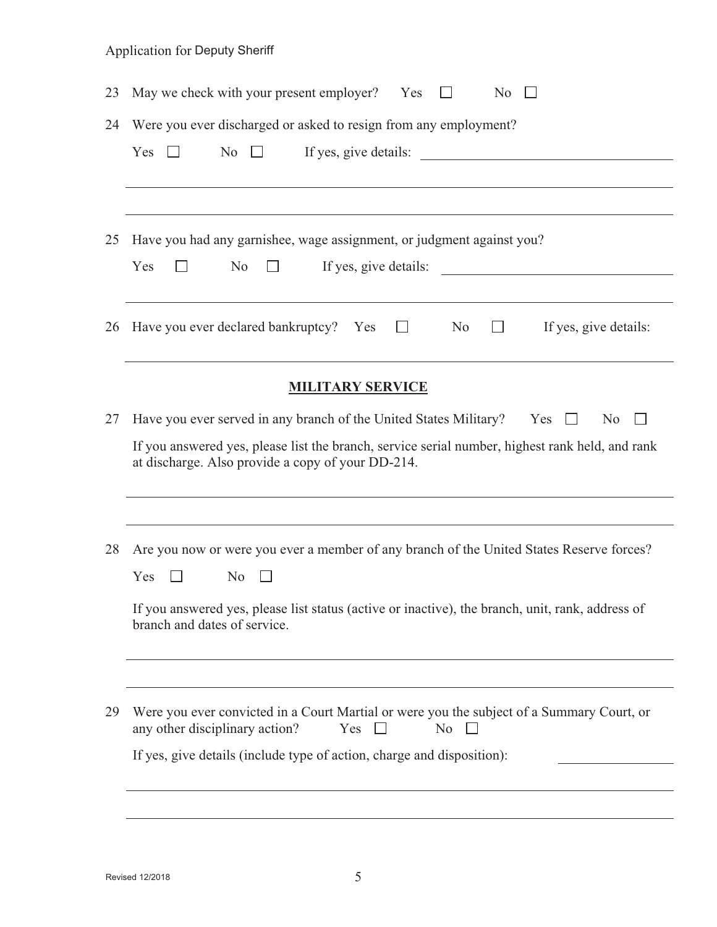| 23 | May we check with your present employer? Yes<br>N <sub>0</sub><br>$\perp$                                                                                                                                                                                                                                                                                       |
|----|-----------------------------------------------------------------------------------------------------------------------------------------------------------------------------------------------------------------------------------------------------------------------------------------------------------------------------------------------------------------|
| 24 | Were you ever discharged or asked to resign from any employment?<br>N <sub>o</sub><br>If yes, give details:<br>Yes<br>$\pm$                                                                                                                                                                                                                                     |
| 25 | Have you had any garnishee, wage assignment, or judgment against you?<br>Yes<br>N <sub>o</sub><br>If yes, give details:<br><u>and the state of the state of the state of the state of the state of the state of the state of the state of the state of the state of the state of the state of the state of the state of the state of the state of the state</u> |
| 26 | Have you ever declared bankruptcy? Yes $\square$<br>No<br>If yes, give details:<br>$\mathbf{1}$                                                                                                                                                                                                                                                                 |
|    | <b>MILITARY SERVICE</b>                                                                                                                                                                                                                                                                                                                                         |
| 27 | Have you ever served in any branch of the United States Military? Yes<br>N <sub>0</sub><br>$\Box$<br>If you answered yes, please list the branch, service serial number, highest rank held, and rank<br>at discharge. Also provide a copy of your DD-214.                                                                                                       |
| 28 | Are you now or were you ever a member of any branch of the United States Reserve forces?<br>Yes<br>N <sub>0</sub><br>If you answered yes, please list status (active or inactive), the branch, unit, rank, address of<br>branch and dates of service.                                                                                                           |
| 29 | Were you ever convicted in a Court Martial or were you the subject of a Summary Court, or<br>any other disciplinary action?<br>Yes<br>N <sub>o</sub><br>$\Box$<br>If yes, give details (include type of action, charge and disposition):                                                                                                                        |
|    |                                                                                                                                                                                                                                                                                                                                                                 |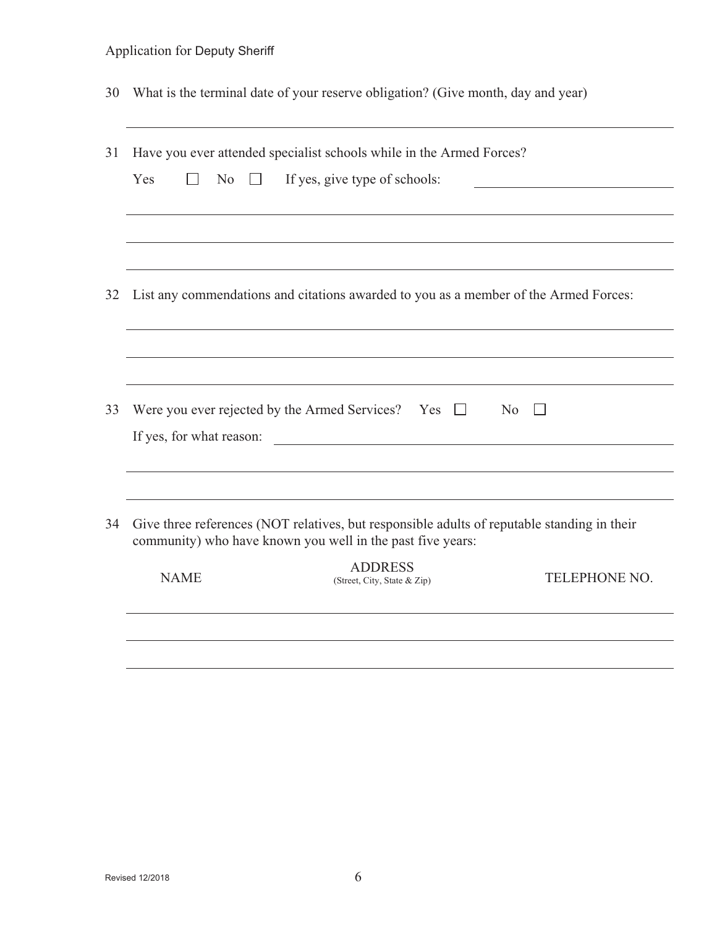|  |  |  |  | 30 What is the terminal date of your reserve obligation? (Give month, day and year) |  |
|--|--|--|--|-------------------------------------------------------------------------------------|--|
|--|--|--|--|-------------------------------------------------------------------------------------|--|

| 31 |                     | Have you ever attended specialist schools while in the Armed Forces?                                                                                      |                |
|----|---------------------|-----------------------------------------------------------------------------------------------------------------------------------------------------------|----------------|
|    | No<br>Yes<br>$\Box$ | If yes, give type of schools:                                                                                                                             |                |
|    |                     |                                                                                                                                                           |                |
|    |                     |                                                                                                                                                           |                |
| 32 |                     | List any commendations and citations awarded to you as a member of the Armed Forces:                                                                      |                |
|    |                     |                                                                                                                                                           |                |
| 33 |                     |                                                                                                                                                           |                |
|    |                     | Were you ever rejected by the Armed Services? Yes $\Box$<br>If yes, for what reason:                                                                      | N <sub>o</sub> |
|    |                     |                                                                                                                                                           |                |
| 34 |                     | Give three references (NOT relatives, but responsible adults of reputable standing in their<br>community) who have known you well in the past five years: |                |
|    | <b>NAME</b>         | <b>ADDRESS</b><br>(Street, City, State & Zip)                                                                                                             | TELEPHONE NO.  |
|    |                     |                                                                                                                                                           |                |
|    |                     |                                                                                                                                                           |                |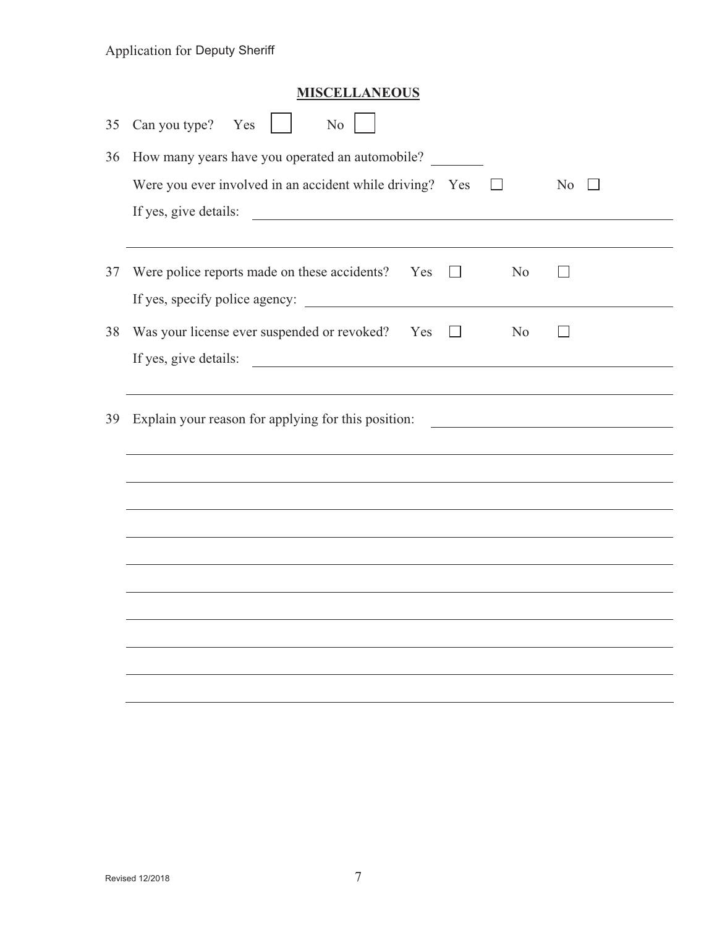|    | <b>MISCELLANEOUS</b>                                                                                                                           |
|----|------------------------------------------------------------------------------------------------------------------------------------------------|
| 35 | Can you type? Yes<br>N <sub>0</sub>                                                                                                            |
| 36 | How many years have you operated an automobile?                                                                                                |
|    | Were you ever involved in an accident while driving? Yes<br>N <sub>0</sub><br>$\mathsf{L}$                                                     |
|    | If yes, give details:<br><u> 1989 - Johann Barn, fransk politik formuler (d. 1989)</u>                                                         |
|    |                                                                                                                                                |
| 37 | Were police reports made on these accidents?<br>Yes<br>N <sub>o</sub><br>$\vert \ \ \vert$<br>$\mathcal{L}$                                    |
|    |                                                                                                                                                |
| 38 | Was your license ever suspended or revoked? Yes<br>N <sub>0</sub><br>$\lfloor \Box$                                                            |
|    | If yes, give details:<br><u> 1989 - Jan Samuel Barbara, martin da shekara 1980 - Andrew Samuel Barbara, mashrida a shekara 1980 - Andrew S</u> |
|    |                                                                                                                                                |
| 39 | Explain your reason for applying for this position:                                                                                            |
|    | ,我们也不会有什么。""我们的人,我们也不会有什么?""我们的人,我们也不会有什么?""我们的人,我们也不会有什么?""我们的人,我们也不会有什么?""我们的人                                                               |
|    |                                                                                                                                                |
|    |                                                                                                                                                |
|    |                                                                                                                                                |
|    |                                                                                                                                                |
|    |                                                                                                                                                |
|    |                                                                                                                                                |
|    |                                                                                                                                                |
|    |                                                                                                                                                |
|    |                                                                                                                                                |
|    |                                                                                                                                                |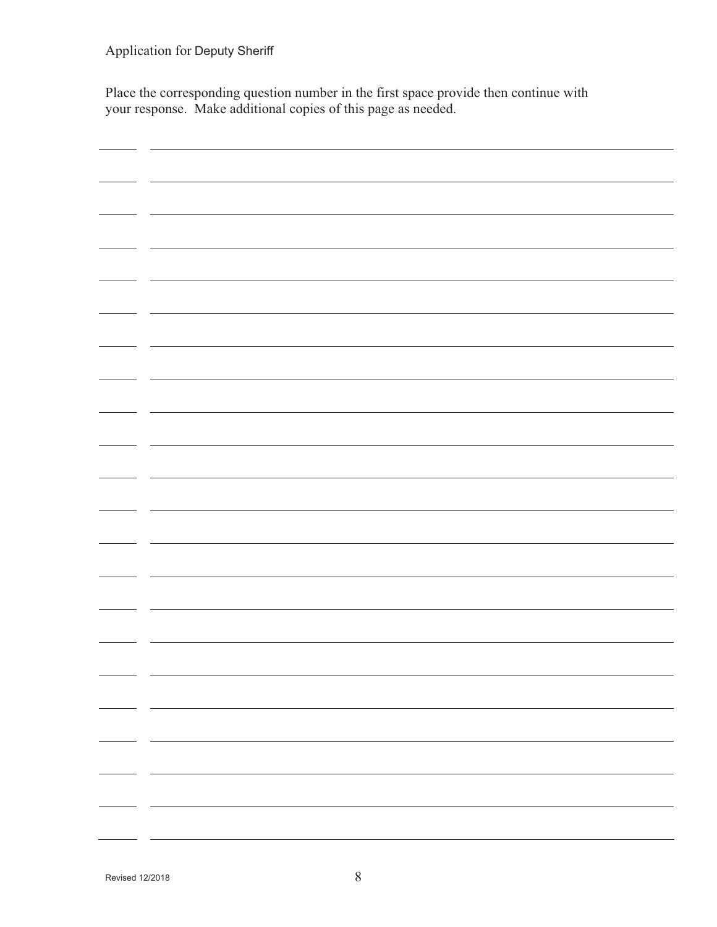Place the corresponding question number in the first space provide then continue with your response. Make additional copies of this page as needed.

| - - |  |
|-----|--|
|     |  |
|     |  |
|     |  |
|     |  |
| - - |  |
|     |  |
|     |  |
|     |  |
|     |  |
|     |  |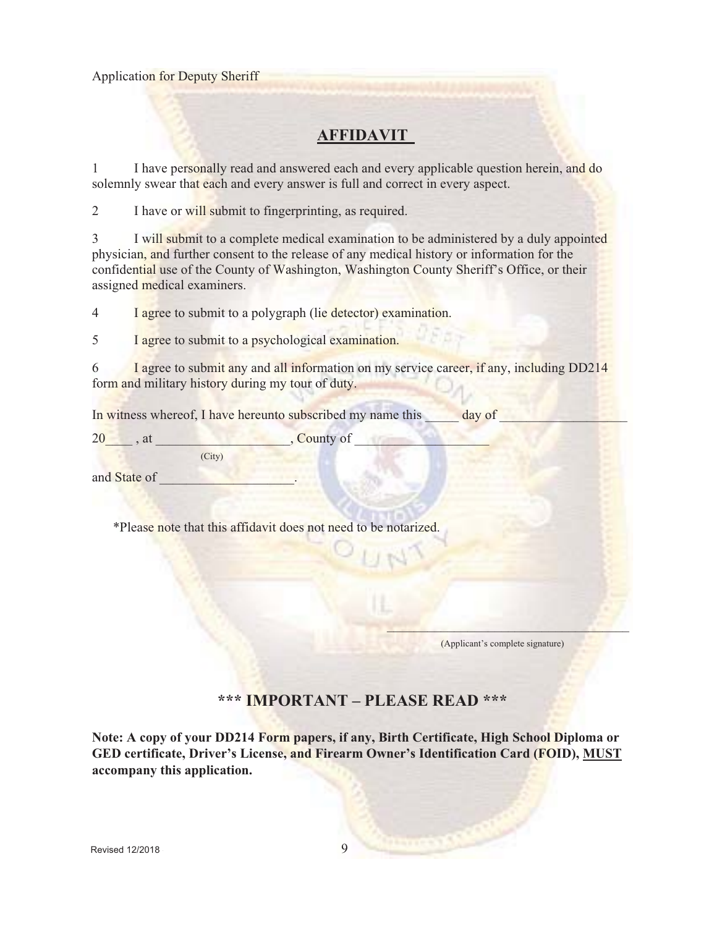# **AFFIDAVIT**

1 I have personally read and answered each and every applicable question herein, and do solemnly swear that each and every answer is full and correct in every aspect.

2 I have or will submit to fingerprinting, as required.

3 I will submit to a complete medical examination to be administered by a duly appointed physician, and further consent to the release of any medical history or information for the confidential use of the County of Washington, Washington County Sheriff's Office, or their assigned medical examiners.

4 I agree to submit to a polygraph (lie detector) examination.

5 I agree to submit to a psychological examination.

6 I agree to submit any and all information on my service career, if any, including DD214 form and military history during my tour of duty.

In witness whereof, I have hereunto subscribed my name this **a** day of

 $20 \rightarrow \text{at}$ , at  $\sim$  . County of (City)

and State of

\*Please note that this affidavit does not need to be notarized.

 $\mathbf{V}$  and  $\mathbf{V}$  are assumed to the set of  $\mathbf{V}$ (Applicant's complete signature)

### **\*\*\* IMPORTANT – PLEASE READ \*\*\***

**Note: A copy of your DD214 Form papers, if any, Birth Certificate, High School Diploma or GED certificate, Driver's License, and Firearm Owner's Identification Card (FOID), MUST accompany this application.**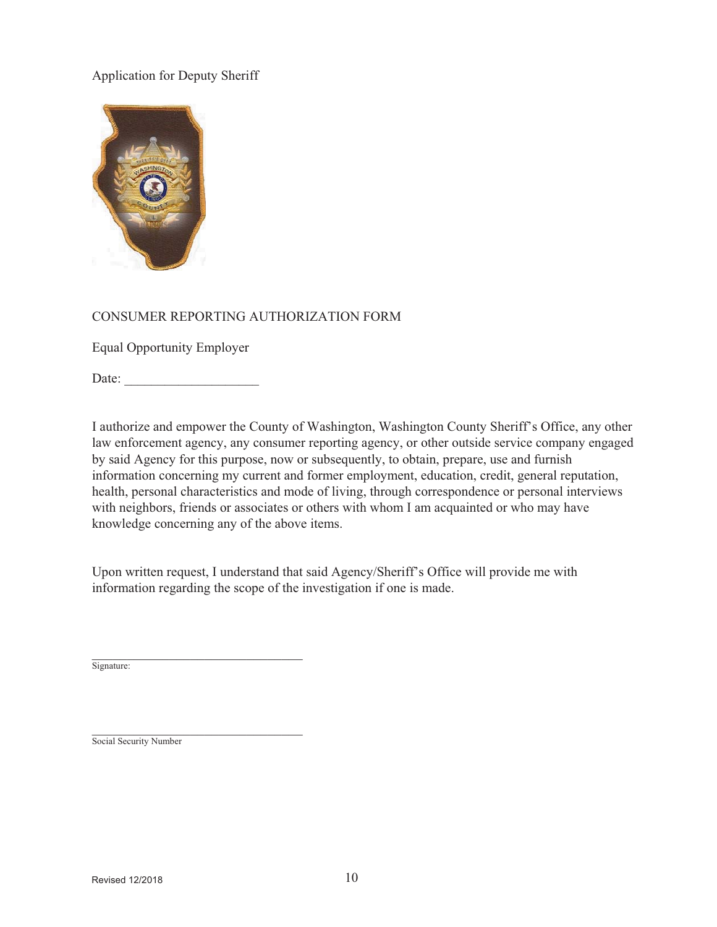

### CONSUMER REPORTING AUTHORIZATION FORM

Equal Opportunity Employer

Date:

I authorize and empower the County of Washington, Washington County Sheriff's Office, any other law enforcement agency, any consumer reporting agency, or other outside service company engaged by said Agency for this purpose, now or subsequently, to obtain, prepare, use and furnish information concerning my current and former employment, education, credit, general reputation, health, personal characteristics and mode of living, through correspondence or personal interviews with neighbors, friends or associates or others with whom I am acquainted or who may have knowledge concerning any of the above items.

Upon written request, I understand that said Agency/Sheriff's Office will provide me with information regarding the scope of the investigation if one is made.

Signature:

Social Security Number